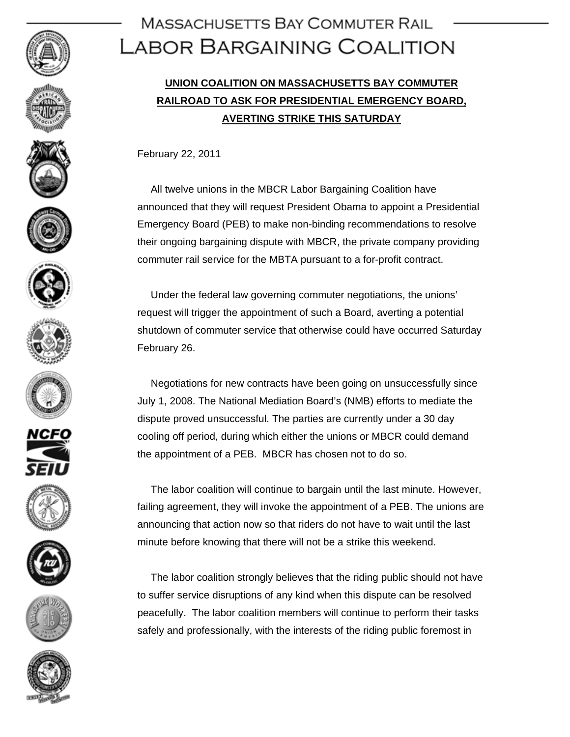























## **MASSACHUSETTS BAY COMMUTER RAIL** LABOR BARGAINING COALITION

## **UNION COALITION ON MASSACHUSETTS BAY COMMUTER RAILROAD TO ASK FOR PRESIDENTIAL EMERGENCY BOARD, AVERTING STRIKE THIS SATURDAY**

February 22, 2011

 All twelve unions in the MBCR Labor Bargaining Coalition have announced that they will request President Obama to appoint a Presidential Emergency Board (PEB) to make non-binding recommendations to resolve their ongoing bargaining dispute with MBCR, the private company providing commuter rail service for the MBTA pursuant to a for-profit contract.

 Under the federal law governing commuter negotiations, the unions' request will trigger the appointment of such a Board, averting a potential shutdown of commuter service that otherwise could have occurred Saturday February 26.

 Negotiations for new contracts have been going on unsuccessfully since July 1, 2008. The National Mediation Board's (NMB) efforts to mediate the dispute proved unsuccessful. The parties are currently under a 30 day cooling off period, during which either the unions or MBCR could demand the appointment of a PEB. MBCR has chosen not to do so.

 The labor coalition will continue to bargain until the last minute. However, failing agreement, they will invoke the appointment of a PEB. The unions are announcing that action now so that riders do not have to wait until the last minute before knowing that there will not be a strike this weekend.

 The labor coalition strongly believes that the riding public should not have to suffer service disruptions of any kind when this dispute can be resolved peacefully. The labor coalition members will continue to perform their tasks safely and professionally, with the interests of the riding public foremost in